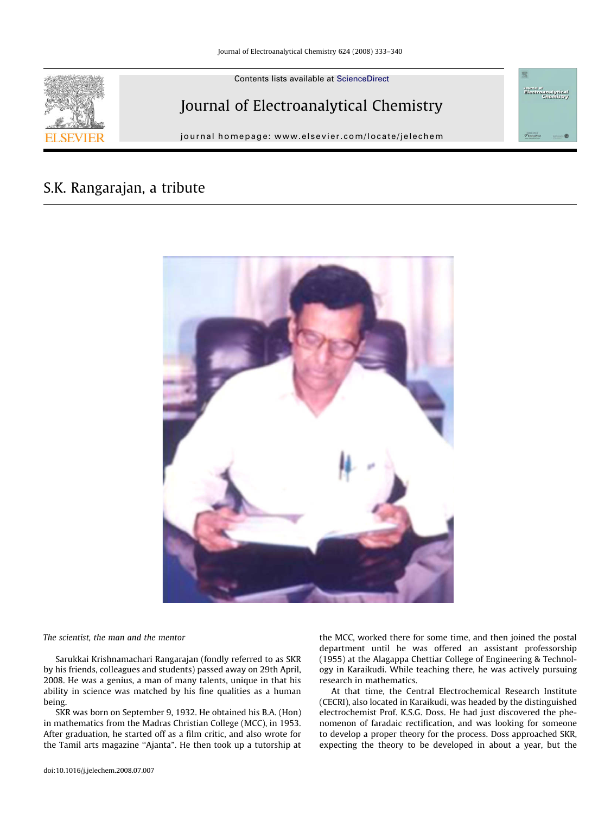

Contents lists available at [ScienceDirect](http://www.sciencedirect.com/science/journal/00220728)

# Journal of Electroanalytical Chemistry

journal homepage: [www.elsevier.com/locate/jelechem](http://www.elsevier.com/locate/jelechem)

# S.K. Rangarajan, a tribute



The scientist, the man and the mentor

Sarukkai Krishnamachari Rangarajan (fondly referred to as SKR by his friends, colleagues and students) passed away on 29th April, 2008. He was a genius, a man of many talents, unique in that his ability in science was matched by his fine qualities as a human being.

SKR was born on September 9, 1932. He obtained his B.A. (Hon) in mathematics from the Madras Christian College (MCC), in 1953. After graduation, he started off as a film critic, and also wrote for the Tamil arts magazine ''Ajanta". He then took up a tutorship at

the MCC, worked there for some time, and then joined the postal department until he was offered an assistant professorship (1955) at the Alagappa Chettiar College of Engineering & Technology in Karaikudi. While teaching there, he was actively pursuing research in mathematics.

At that time, the Central Electrochemical Research Institute (CECRI), also located in Karaikudi, was headed by the distinguished electrochemist Prof. K.S.G. Doss. He had just discovered the phenomenon of faradaic rectification, and was looking for someone to develop a proper theory for the process. Doss approached SKR, expecting the theory to be developed in about a year, but the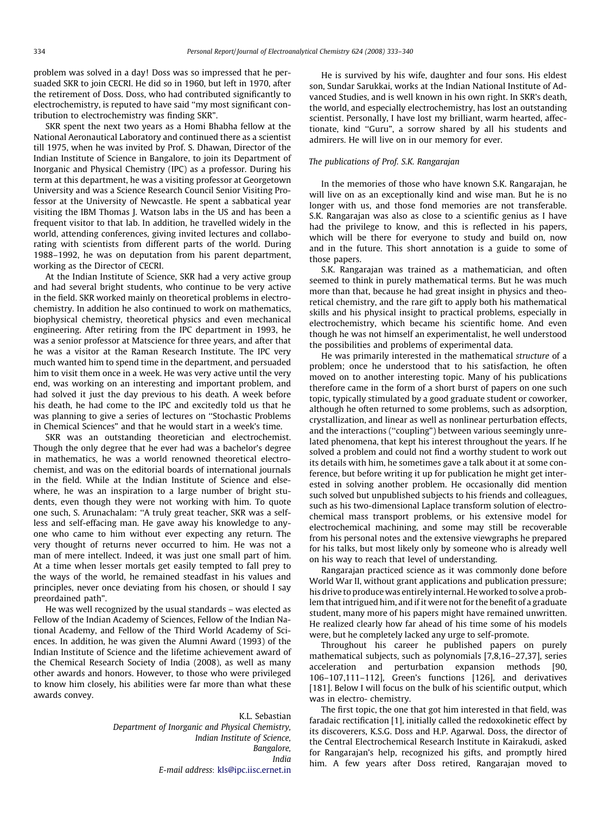problem was solved in a day! Doss was so impressed that he persuaded SKR to join CECRI. He did so in 1960, but left in 1970, after the retirement of Doss. Doss, who had contributed significantly to electrochemistry, is reputed to have said ''my most significant contribution to electrochemistry was finding SKR".

SKR spent the next two years as a Homi Bhabha fellow at the National Aeronautical Laboratory and continued there as a scientist till 1975, when he was invited by Prof. S. Dhawan, Director of the Indian Institute of Science in Bangalore, to join its Department of Inorganic and Physical Chemistry (IPC) as a professor. During his term at this department, he was a visiting professor at Georgetown University and was a Science Research Council Senior Visiting Professor at the University of Newcastle. He spent a sabbatical year visiting the IBM Thomas J. Watson labs in the US and has been a frequent visitor to that lab. In addition, he travelled widely in the world, attending conferences, giving invited lectures and collaborating with scientists from different parts of the world. During 1988–1992, he was on deputation from his parent department, working as the Director of CECRI.

At the Indian Institute of Science, SKR had a very active group and had several bright students, who continue to be very active in the field. SKR worked mainly on theoretical problems in electrochemistry. In addition he also continued to work on mathematics, biophysical chemistry, theoretical physics and even mechanical engineering. After retiring from the IPC department in 1993, he was a senior professor at Matscience for three years, and after that he was a visitor at the Raman Research Institute. The IPC very much wanted him to spend time in the department, and persuaded him to visit them once in a week. He was very active until the very end, was working on an interesting and important problem, and had solved it just the day previous to his death. A week before his death, he had come to the IPC and excitedly told us that he was planning to give a series of lectures on ''Stochastic Problems in Chemical Sciences" and that he would start in a week's time.

SKR was an outstanding theoretician and electrochemist. Though the only degree that he ever had was a bachelor's degree in mathematics, he was a world renowned theoretical electrochemist, and was on the editorial boards of international journals in the field. While at the Indian Institute of Science and elsewhere, he was an inspiration to a large number of bright students, even though they were not working with him. To quote one such, S. Arunachalam: ''A truly great teacher, SKR was a selfless and self-effacing man. He gave away his knowledge to anyone who came to him without ever expecting any return. The very thought of returns never occurred to him. He was not a man of mere intellect. Indeed, it was just one small part of him. At a time when lesser mortals get easily tempted to fall prey to the ways of the world, he remained steadfast in his values and principles, never once deviating from his chosen, or should I say preordained path".

He was well recognized by the usual standards – was elected as Fellow of the Indian Academy of Sciences, Fellow of the Indian National Academy, and Fellow of the Third World Academy of Sciences. In addition, he was given the Alumni Award (1993) of the Indian Institute of Science and the lifetime achievement award of the Chemical Research Society of India (2008), as well as many other awards and honors. However, to those who were privileged to know him closely, his abilities were far more than what these awards convey.

> K.L. Sebastian Department of Inorganic and Physical Chemistry, Indian Institute of Science, Bangalore, India E-mail address: [kls@ipc.iisc.ernet.in](mailto:kls@ipc.iisc.ernet.in)

He is survived by his wife, daughter and four sons. His eldest son, Sundar Sarukkai, works at the Indian National Institute of Advanced Studies, and is well known in his own right. In SKR's death, the world, and especially electrochemistry, has lost an outstanding scientist. Personally, I have lost my brilliant, warm hearted, affectionate, kind ''Guru", a sorrow shared by all his students and admirers. He will live on in our memory for ever.

# The publications of Prof. S.K. Rangarajan

In the memories of those who have known S.K. Rangarajan, he will live on as an exceptionally kind and wise man. But he is no longer with us, and those fond memories are not transferable. S.K. Rangarajan was also as close to a scientific genius as I have had the privilege to know, and this is reflected in his papers, which will be there for everyone to study and build on, now and in the future. This short annotation is a guide to some of those papers.

S.K. Rangarajan was trained as a mathematician, and often seemed to think in purely mathematical terms. But he was much more than that, because he had great insight in physics and theoretical chemistry, and the rare gift to apply both his mathematical skills and his physical insight to practical problems, especially in electrochemistry, which became his scientific home. And even though he was not himself an experimentalist, he well understood the possibilities and problems of experimental data.

He was primarily interested in the mathematical structure of a problem; once he understood that to his satisfaction, he often moved on to another interesting topic. Many of his publications therefore came in the form of a short burst of papers on one such topic, typically stimulated by a good graduate student or coworker, although he often returned to some problems, such as adsorption, crystallization, and linear as well as nonlinear perturbation effects, and the interactions (''coupling") between various seemingly unrelated phenomena, that kept his interest throughout the years. If he solved a problem and could not find a worthy student to work out its details with him, he sometimes gave a talk about it at some conference, but before writing it up for publication he might get interested in solving another problem. He occasionally did mention such solved but unpublished subjects to his friends and colleagues, such as his two-dimensional Laplace transform solution of electrochemical mass transport problems, or his extensive model for electrochemical machining, and some may still be recoverable from his personal notes and the extensive viewgraphs he prepared for his talks, but most likely only by someone who is already well on his way to reach that level of understanding.

Rangarajan practiced science as it was commonly done before World War II, without grant applications and publication pressure; his drive to produce was entirely internal. He worked to solve a problem that intrigued him, and if it were not for the benefit of a graduate student, many more of his papers might have remained unwritten. He realized clearly how far ahead of his time some of his models were, but he completely lacked any urge to self-promote.

Throughout his career he published papers on purely mathematical subjects, such as polynomials [7,8,16–27,37], series acceleration and perturbation expansion methods [90, 106–107,111–112], Green's functions [126], and derivatives [181]. Below I will focus on the bulk of his scientific output, which was in electro- chemistry.

The first topic, the one that got him interested in that field, was faradaic rectification [1], initially called the redoxokinetic effect by its discoverers, K.S.G. Doss and H.P. Agarwal. Doss, the director of the Central Electrochemical Research Institute in Kairakudi, asked for Rangarajan's help, recognized his gifts, and promptly hired him. A few years after Doss retired, Rangarajan moved to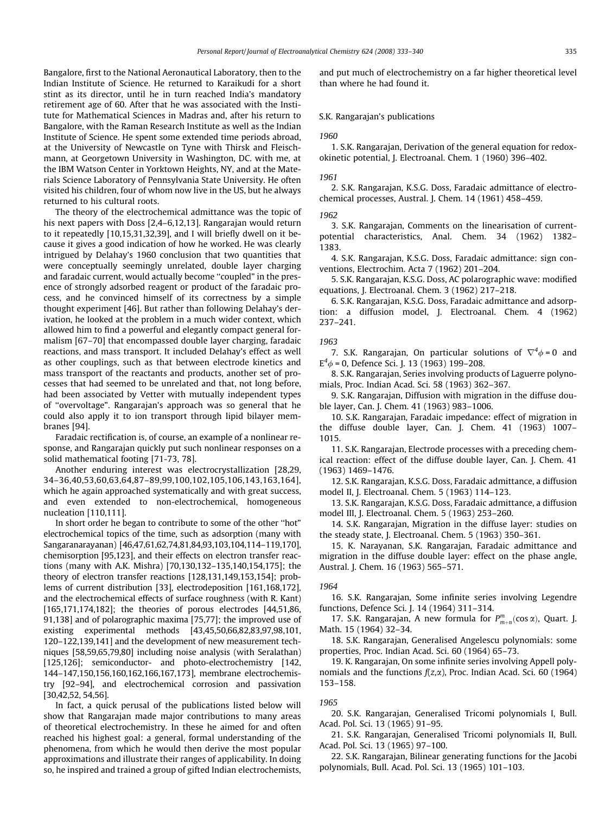Bangalore, first to the National Aeronautical Laboratory, then to the Indian Institute of Science. He returned to Karaikudi for a short stint as its director, until he in turn reached India's mandatory retirement age of 60. After that he was associated with the Institute for Mathematical Sciences in Madras and, after his return to Bangalore, with the Raman Research Institute as well as the Indian Institute of Science. He spent some extended time periods abroad, at the University of Newcastle on Tyne with Thirsk and Fleischmann, at Georgetown University in Washington, DC. with me, at the IBM Watson Center in Yorktown Heights, NY, and at the Materials Science Laboratory of Pennsylvania State University. He often visited his children, four of whom now live in the US, but he always returned to his cultural roots.

The theory of the electrochemical admittance was the topic of his next papers with Doss [2,4–6,12,13]. Rangarajan would return to it repeatedly [10,15,31,32,39], and I will briefly dwell on it because it gives a good indication of how he worked. He was clearly intrigued by Delahay's 1960 conclusion that two quantities that were conceptually seemingly unrelated, double layer charging and faradaic current, would actually become ''coupled" in the presence of strongly adsorbed reagent or product of the faradaic process, and he convinced himself of its correctness by a simple thought experiment [46]. But rather than following Delahay's derivation, he looked at the problem in a much wider context, which allowed him to find a powerful and elegantly compact general formalism [67–70] that encompassed double layer charging, faradaic reactions, and mass transport. It included Delahay's effect as well as other couplings, such as that between electrode kinetics and mass transport of the reactants and products, another set of processes that had seemed to be unrelated and that, not long before, had been associated by Vetter with mutually independent types of ''overvoltage". Rangarajan's approach was so general that he could also apply it to ion transport through lipid bilayer membranes [94].

Faradaic rectification is, of course, an example of a nonlinear response, and Rangarajan quickly put such nonlinear responses on a solid mathematical footing [71-73, 78].

Another enduring interest was electrocrystallization [28,29, 34–36,40,53,60,63,64,87–89,99,100,102,105,106,143,163,164], which he again approached systematically and with great success, and even extended to non-electrochemical, homogeneous nucleation [110,111].

In short order he began to contribute to some of the other ''hot" electrochemical topics of the time, such as adsorption (many with Sangaranarayanan) [46,47,61,62,74,81,84,93,103,104,114–119,170], chemisorption [95,123], and their effects on electron transfer reactions (many with A.K. Mishra) [70,130,132–135,140,154,175]; the theory of electron transfer reactions [128,131,149,153,154]; problems of current distribution [33], electrodeposition [161,168,172], and the electrochemical effects of surface roughness (with R. Kant) [165,171,174,182]; the theories of porous electrodes [44,51,86, 91,138] and of polarographic maxima [75,77]; the improved use of existing experimental methods [43,45,50,66,82,83,97,98,101, 120–122,139,141] and the development of new measurement techniques [58,59,65,79,80] including noise analysis (with Seralathan) [125,126]; semiconductor- and photo-electrochemistry [142, 144–147,150,156,160,162,166,167,173], membrane electrochemistry [92–94], and electrochemical corrosion and passivation [30,42,52, 54,56].

In fact, a quick perusal of the publications listed below will show that Rangarajan made major contributions to many areas of theoretical electrochemistry. In these he aimed for and often reached his highest goal: a general, formal understanding of the phenomena, from which he would then derive the most popular approximations and illustrate their ranges of applicability. In doing so, he inspired and trained a group of gifted Indian electrochemists, and put much of electrochemistry on a far higher theoretical level than where he had found it.

S.K. Rangarajan's publications

# 1960

1. S.K. Rangarajan, Derivation of the general equation for redoxokinetic potential, J. Electroanal. Chem. 1 (1960) 396–402.

#### 1961

2. S.K. Rangarajan, K.S.G. Doss, Faradaic admittance of electrochemical processes, Austral. J. Chem. 14 (1961) 458–459.

# 1962

3. S.K. Rangarajan, Comments on the linearisation of currentpotential characteristics, Anal. Chem. 34 (1962) 1382– 1383.

4. S.K. Rangarajan, K.S.G. Doss, Faradaic admittance: sign conventions, Electrochim. Acta 7 (1962) 201–204.

5. S.K. Rangarajan, K.S.G. Doss, AC polarographic wave: modified equations, J. Electroanal. Chem. 3 (1962) 217–218.

6. S.K. Rangarajan, K.S.G. Doss, Faradaic admittance and adsorption: a diffusion model, J. Electroanal. Chem. 4 (1962) 237–241.

#### 1963

7. S.K. Rangarajan, On particular solutions of  $\nabla^4 \phi = 0$  and  $E^4\phi$  = 0, Defence Sci. J. 13 (1963) 199–208.

8. S.K. Rangarajan, Series involving products of Laguerre polynomials, Proc. Indian Acad. Sci. 58 (1963) 362–367.

9. S.K. Rangarajan, Diffusion with migration in the diffuse double layer, Can. J. Chem. 41 (1963) 983–1006.

10. S.K. Rangarajan, Faradaic impedance: effect of migration in the diffuse double layer, Can. J. Chem. 41 (1963) 1007– 1015.

11. S.K. Rangarajan, Electrode processes with a preceding chemical reaction: effect of the diffuse double layer, Can. J. Chem. 41 (1963) 1469–1476.

12. S.K. Rangarajan, K.S.G. Doss, Faradaic admittance, a diffusion model II, J. Electroanal. Chem. 5 (1963) 114–123.

13. S.K. Rangarajan, K.S.G. Doss, Faradaic admittance, a diffusion model III, J. Electroanal. Chem. 5 (1963) 253–260.

14. S.K. Rangarajan, Migration in the diffuse layer: studies on the steady state, J. Electroanal. Chem. 5 (1963) 350–361.

15. K. Narayanan, S.K. Rangarajan, Faradaic admittance and migration in the diffuse double layer: effect on the phase angle, Austral. J. Chem. 16 (1963) 565–571.

#### 1964

16. S.K. Rangarajan, Some infinite series involving Legendre functions, Defence Sci. J. 14 (1964) 311–314.

17. S.K. Rangarajan, A new formula for  $P_{m+n}^m(\cos\alpha)$ , Quart. J. Math. 15 (1964) 32–34.

18. S.K. Rangarajan, Generalised Angelescu polynomials: some properties, Proc. Indian Acad. Sci. 60 (1964) 65–73.

19. K. Rangarajan, On some infinite series involving Appell polynomials and the functions  $f(z, \alpha)$ , Proc. Indian Acad. Sci. 60 (1964) 153–158.

# 1965

20. S.K. Rangarajan, Generalised Tricomi polynomials I, Bull. Acad. Pol. Sci. 13 (1965) 91–95.

21. S.K. Rangarajan, Generalised Tricomi polynomials II, Bull. Acad. Pol. Sci. 13 (1965) 97–100.

22. S.K. Rangarajan, Bilinear generating functions for the Jacobi polynomials, Bull. Acad. Pol. Sci. 13 (1965) 101–103.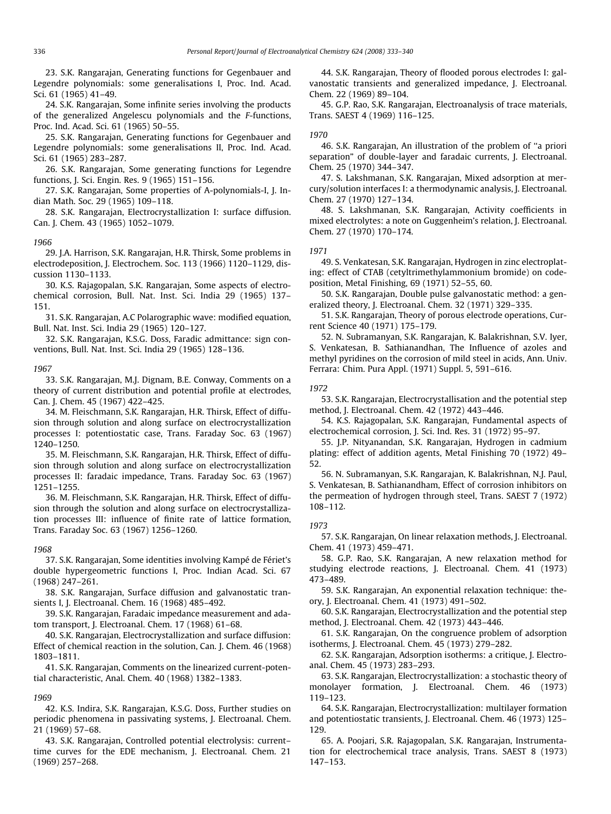23. S.K. Rangarajan, Generating functions for Gegenbauer and Legendre polynomials: some generalisations I, Proc. Ind. Acad. Sci. 61 (1965) 41–49.

24. S.K. Rangarajan, Some infinite series involving the products of the generalized Angelescu polynomials and the F-functions, Proc. Ind. Acad. Sci. 61 (1965) 50–55.

25. S.K. Rangarajan, Generating functions for Gegenbauer and Legendre polynomials: some generalisations II, Proc. Ind. Acad. Sci. 61 (1965) 283–287.

26. S.K. Rangarajan, Some generating functions for Legendre functions, J. Sci. Engin. Res. 9 (1965) 151–156.

27. S.K. Rangarajan, Some properties of A-polynomials-I, J. Indian Math. Soc. 29 (1965) 109–118.

28. S.K. Rangarajan, Electrocrystallization I: surface diffusion. Can. J. Chem. 43 (1965) 1052–1079.

#### 1966

29. J.A. Harrison, S.K. Rangarajan, H.R. Thirsk, Some problems in electrodeposition, J. Electrochem. Soc. 113 (1966) 1120–1129, discussion 1130–1133.

30. K.S. Rajagopalan, S.K. Rangarajan, Some aspects of electrochemical corrosion, Bull. Nat. Inst. Sci. India 29 (1965) 137– 151.

31. S.K. Rangarajan, A.C Polarographic wave: modified equation, Bull. Nat. Inst. Sci. India 29 (1965) 120–127.

32. S.K. Rangarajan, K.S.G. Doss, Faradic admittance: sign conventions, Bull. Nat. Inst. Sci. India 29 (1965) 128–136.

#### 1967

33. S.K. Rangarajan, M.J. Dignam, B.E. Conway, Comments on a theory of current distribution and potential profile at electrodes, Can. J. Chem. 45 (1967) 422–425.

34. M. Fleischmann, S.K. Rangarajan, H.R. Thirsk, Effect of diffusion through solution and along surface on electrocrystallization processes I: potentiostatic case, Trans. Faraday Soc. 63 (1967) 1240–1250.

35. M. Fleischmann, S.K. Rangarajan, H.R. Thirsk, Effect of diffusion through solution and along surface on electrocrystallization processes II: faradaic impedance, Trans. Faraday Soc. 63 (1967) 1251–1255.

36. M. Fleischmann, S.K. Rangarajan, H.R. Thirsk, Effect of diffusion through the solution and along surface on electrocrystallization processes III: influence of finite rate of lattice formation, Trans. Faraday Soc. 63 (1967) 1256–1260.

#### 1968

37. S.K. Rangarajan, Some identities involving Kampé de Fériet's double hypergeometric functions I, Proc. Indian Acad. Sci. 67 (1968) 247–261.

38. S.K. Rangarajan, Surface diffusion and galvanostatic transients I, J. Electroanal. Chem. 16 (1968) 485–492.

39. S.K. Rangarajan, Faradaic impedance measurement and adatom transport, J. Electroanal. Chem. 17 (1968) 61–68.

40. S.K. Rangarajan, Electrocrystallization and surface diffusion: Effect of chemical reaction in the solution, Can. J. Chem. 46 (1968) 1803–1811.

41. S.K. Rangarajan, Comments on the linearized current-potential characteristic, Anal. Chem. 40 (1968) 1382–1383.

1969

42. K.S. Indira, S.K. Rangarajan, K.S.G. Doss, Further studies on periodic phenomena in passivating systems, J. Electroanal. Chem. 21 (1969) 57–68.

43. S.K. Rangarajan, Controlled potential electrolysis: current– time curves for the EDE mechanism, J. Electroanal. Chem. 21 (1969) 257–268.

44. S.K. Rangarajan, Theory of flooded porous electrodes I: galvanostatic transients and generalized impedance, J. Electroanal. Chem. 22 (1969) 89–104.

45. G.P. Rao, S.K. Rangarajan, Electroanalysis of trace materials, Trans. SAEST 4 (1969) 116–125.

#### 1970

46. S.K. Rangarajan, An illustration of the problem of ''a priori separation" of double-layer and faradaic currents, J. Electroanal. Chem. 25 (1970) 344–347.

47. S. Lakshmanan, S.K. Rangarajan, Mixed adsorption at mercury/solution interfaces I: a thermodynamic analysis, J. Electroanal. Chem. 27 (1970) 127–134.

48. S. Lakshmanan, S.K. Rangarajan, Activity coefficients in mixed electrolytes: a note on Guggenheim's relation, J. Electroanal. Chem. 27 (1970) 170–174.

#### 1971

49. S. Venkatesan, S.K. Rangarajan, Hydrogen in zinc electroplating: effect of CTAB (cetyltrimethylammonium bromide) on codeposition, Metal Finishing, 69 (1971) 52–55, 60.

50. S.K. Rangarajan, Double pulse galvanostatic method: a generalized theory, J. Electroanal. Chem. 32 (1971) 329–335.

51. S.K. Rangarajan, Theory of porous electrode operations, Current Science 40 (1971) 175–179.

52. N. Subramanyan, S.K. Rangarajan, K. Balakrishnan, S.V. Iyer, S. Venkatesan, B. Sathianandhan, The Influence of azoles and methyl pyridines on the corrosion of mild steel in acids, Ann. Univ. Ferrara: Chim. Pura Appl. (1971) Suppl. 5, 591–616.

#### 1972

53. S.K. Rangarajan, Electrocrystallisation and the potential step method, J. Electroanal. Chem. 42 (1972) 443–446.

54. K.S. Rajagopalan, S.K. Rangarajan, Fundamental aspects of electrochemical corrosion, J. Sci. Ind. Res. 31 (1972) 95–97.

55. J.P. Nityanandan, S.K. Rangarajan, Hydrogen in cadmium plating: effect of addition agents, Metal Finishing 70 (1972) 49– 52.

56. N. Subramanyan, S.K. Rangarajan, K. Balakrishnan, N.J. Paul, S. Venkatesan, B. Sathianandham, Effect of corrosion inhibitors on the permeation of hydrogen through steel, Trans. SAEST 7 (1972) 108–112.

# 1973

57. S.K. Rangarajan, On linear relaxation methods, J. Electroanal. Chem. 41 (1973) 459–471.

58. G.P. Rao, S.K. Rangarajan, A new relaxation method for studying electrode reactions, J. Electroanal. Chem. 41 (1973) 473–489.

59. S.K. Rangarajan, An exponential relaxation technique: theory, J. Electroanal. Chem. 41 (1973) 491–502.

60. S.K. Rangarajan, Electrocrystallization and the potential step method, J. Electroanal. Chem. 42 (1973) 443–446.

61. S.K. Rangarajan, On the congruence problem of adsorption isotherms, J. Electroanal. Chem. 45 (1973) 279–282.

62. S.K. Rangarajan, Adsorption isotherms: a critique, J. Electroanal. Chem. 45 (1973) 283–293.

63. S.K. Rangarajan, Electrocrystallization: a stochastic theory of monolayer formation, J. Electroanal. Chem. 46 (1973) 119–123.

64. S.K. Rangarajan, Electrocrystallization: multilayer formation and potentiostatic transients, J. Electroanal. Chem. 46 (1973) 125– 129.

65. A. Poojari, S.R. Rajagopalan, S.K. Rangarajan, Instrumentation for electrochemical trace analysis, Trans. SAEST 8 (1973) 147–153.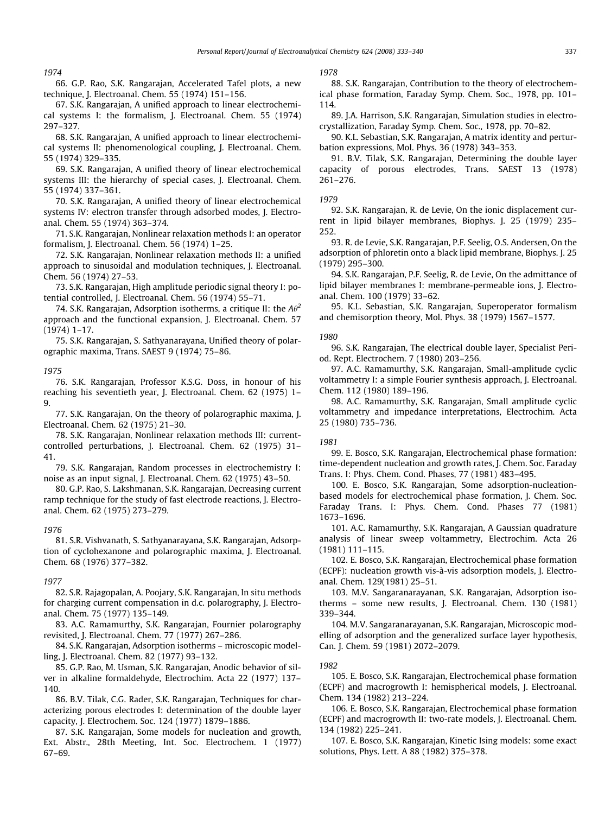1974

66. G.P. Rao, S.K. Rangarajan, Accelerated Tafel plots, a new technique, J. Electroanal. Chem. 55 (1974) 151–156.

67. S.K. Rangarajan, A unified approach to linear electrochemical systems I: the formalism, J. Electroanal. Chem. 55 (1974) 297–327.

68. S.K. Rangarajan, A unified approach to linear electrochemical systems II: phenomenological coupling, J. Electroanal. Chem. 55 (1974) 329–335.

69. S.K. Rangarajan, A unified theory of linear electrochemical systems III: the hierarchy of special cases, J. Electroanal. Chem. 55 (1974) 337–361.

70. S.K. Rangarajan, A unified theory of linear electrochemical systems IV: electron transfer through adsorbed modes, J. Electroanal. Chem. 55 (1974) 363–374.

71. S.K. Rangarajan, Nonlinear relaxation methods I: an operator formalism, J. Electroanal. Chem. 56 (1974) 1–25.

72. S.K. Rangarajan, Nonlinear relaxation methods II: a unified approach to sinusoidal and modulation techniques, J. Electroanal. Chem. 56 (1974) 27–53.

73. S.K. Rangarajan, High amplitude periodic signal theory I: potential controlled, J. Electroanal. Chem. 56 (1974) 55–71.

74. S.K. Rangarajan, Adsorption isotherms, a critique II: the  $A\theta^2$ approach and the functional expansion, J. Electroanal. Chem. 57 (1974) 1–17.

75. S.K. Rangarajan, S. Sathyanarayana, Unified theory of polarographic maxima, Trans. SAEST 9 (1974) 75–86.

#### 1975

76. S.K. Rangarajan, Professor K.S.G. Doss, in honour of his reaching his seventieth year, J. Electroanal. Chem. 62 (1975) 1– 9.

77. S.K. Rangarajan, On the theory of polarographic maxima, J. Electroanal. Chem. 62 (1975) 21–30.

78. S.K. Rangarajan, Nonlinear relaxation methods III: currentcontrolled perturbations, J. Electroanal. Chem. 62 (1975) 31– 41.

79. S.K. Rangarajan, Random processes in electrochemistry I: noise as an input signal, J. Electroanal. Chem. 62 (1975) 43–50.

80. G.P. Rao, S. Lakshmanan, S.K. Rangarajan, Decreasing current ramp technique for the study of fast electrode reactions, J. Electroanal. Chem. 62 (1975) 273–279.

# 1976

81. S.R. Vishvanath, S. Sathyanarayana, S.K. Rangarajan, Adsorption of cyclohexanone and polarographic maxima, J. Electroanal. Chem. 68 (1976) 377–382.

## 1977

82. S.R. Rajagopalan, A. Poojary, S.K. Rangarajan, In situ methods for charging current compensation in d.c. polarography, J. Electroanal. Chem. 75 (1977) 135–149.

83. A.C. Ramamurthy, S.K. Rangarajan, Fournier polarography revisited, J. Electroanal. Chem. 77 (1977) 267–286.

84. S.K. Rangarajan, Adsorption isotherms – microscopic modelling, J. Electroanal. Chem. 82 (1977) 93–132.

85. G.P. Rao, M. Usman, S.K. Rangarajan, Anodic behavior of silver in alkaline formaldehyde, Electrochim. Acta 22 (1977) 137– 140.

86. B.V. Tilak, C.G. Rader, S.K. Rangarajan, Techniques for characterizing porous electrodes I: determination of the double layer capacity, J. Electrochem. Soc. 124 (1977) 1879–1886.

87. S.K. Rangarajan, Some models for nucleation and growth, Ext. Abstr., 28th Meeting, Int. Soc. Electrochem. 1 (1977) 67–69.

1978

88. S.K. Rangarajan, Contribution to the theory of electrochemical phase formation, Faraday Symp. Chem. Soc., 1978, pp. 101– 114.

89. J.A. Harrison, S.K. Rangarajan, Simulation studies in electrocrystallization, Faraday Symp. Chem. Soc., 1978, pp. 70–82.

90. K.L. Sebastian, S.K. Rangarajan, A matrix identity and perturbation expressions, Mol. Phys. 36 (1978) 343–353.

91. B.V. Tilak, S.K. Rangarajan, Determining the double layer capacity of porous electrodes, Trans. SAEST 13 (1978) 261–276.

#### 1979

92. S.K. Rangarajan, R. de Levie, On the ionic displacement current in lipid bilayer membranes, Biophys. J. 25 (1979) 235– 252.

93. R. de Levie, S.K. Rangarajan, P.F. Seelig, O.S. Andersen, On the adsorption of phloretin onto a black lipid membrane, Biophys. J. 25 (1979) 295–300.

94. S.K. Rangarajan, P.F. Seelig, R. de Levie, On the admittance of lipid bilayer membranes I: membrane-permeable ions, J. Electroanal. Chem. 100 (1979) 33–62.

95. K.L. Sebastian, S.K. Rangarajan, Superoperator formalism and chemisorption theory, Mol. Phys. 38 (1979) 1567–1577.

#### 1980

96. S.K. Rangarajan, The electrical double layer, Specialist Period. Rept. Electrochem. 7 (1980) 203–256.

97. A.C. Ramamurthy, S.K. Rangarajan, Small-amplitude cyclic voltammetry I: a simple Fourier synthesis approach, J. Electroanal. Chem. 112 (1980) 189–196.

98. A.C. Ramamurthy, S.K. Rangarajan, Small amplitude cyclic voltammetry and impedance interpretations, Electrochim. Acta 25 (1980) 735–736.

# 1981

99. E. Bosco, S.K. Rangarajan, Electrochemical phase formation: time-dependent nucleation and growth rates, J. Chem. Soc. Faraday Trans. I: Phys. Chem. Cond. Phases, 77 (1981) 483–495.

100. E. Bosco, S.K. Rangarajan, Some adsorption-nucleationbased models for electrochemical phase formation, J. Chem. Soc. Faraday Trans. I: Phys. Chem. Cond. Phases 77 (1981) 1673–1696.

101. A.C. Ramamurthy, S.K. Rangarajan, A Gaussian quadrature analysis of linear sweep voltammetry, Electrochim. Acta 26 (1981) 111–115.

102. E. Bosco, S.K. Rangarajan, Electrochemical phase formation (ECPF): nucleation growth vis-à-vis adsorption models, J. Electroanal. Chem. 129(1981) 25–51.

103. M.V. Sangaranarayanan, S.K. Rangarajan, Adsorption isotherms – some new results, J. Electroanal. Chem. 130 (1981) 339–344.

104. M.V. Sangaranarayanan, S.K. Rangarajan, Microscopic modelling of adsorption and the generalized surface layer hypothesis, Can. J. Chem. 59 (1981) 2072–2079.

#### 1982

105. E. Bosco, S.K. Rangarajan, Electrochemical phase formation (ECPF) and macrogrowth I: hemispherical models, J. Electroanal. Chem. 134 (1982) 213–224.

106. E. Bosco, S.K. Rangarajan, Electrochemical phase formation (ECPF) and macrogrowth II: two-rate models, J. Electroanal. Chem. 134 (1982) 225–241.

107. E. Bosco, S.K. Rangarajan, Kinetic Ising models: some exact solutions, Phys. Lett. A 88 (1982) 375–378.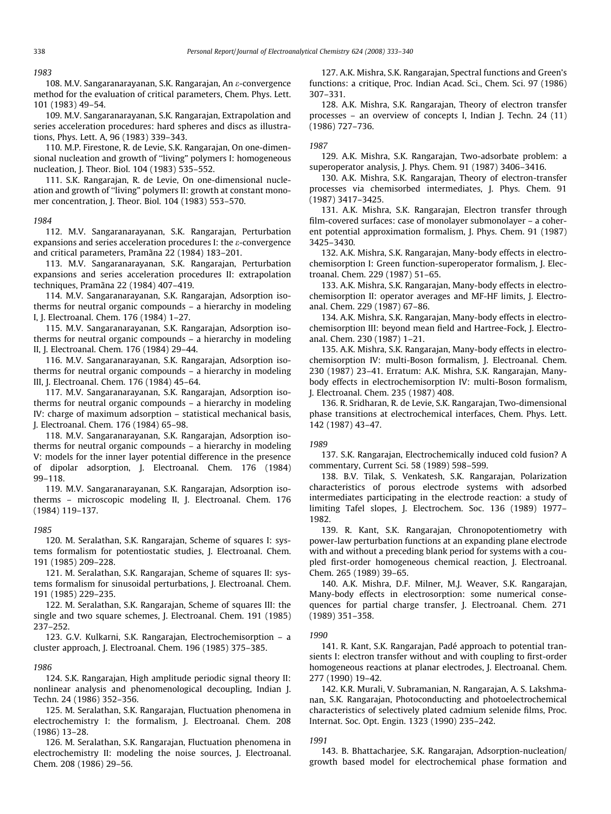1983

108. M.V. Sangaranarayanan, S.K. Rangarajan, An e-convergence method for the evaluation of critical parameters, Chem. Phys. Lett. 101 (1983) 49–54.

109. M.V. Sangaranarayanan, S.K. Rangarajan, Extrapolation and series acceleration procedures: hard spheres and discs as illustrations, Phys. Lett. A, 96 (1983) 339–343.

110. M.P. Firestone, R. de Levie, S.K. Rangarajan, On one-dimensional nucleation and growth of ''living" polymers I: homogeneous nucleation, J. Theor. Biol. 104 (1983) 535–552.

111. S.K. Rangarajan, R. de Levie, On one-dimensional nucleation and growth of ''living" polymers II: growth at constant monomer concentration, J. Theor. Biol. 104 (1983) 553–570.

#### 1984

112. M.V. Sangaranarayanan, S.K. Rangarajan, Perturbation expansions and series acceleration procedures I: the  $\varepsilon$ -convergence and critical parameters, Pramãna 22 (1984) 183–201.

113. M.V. Sangaranarayanan, S.K. Rangarajan, Perturbation expansions and series acceleration procedures II: extrapolation techniques, Pramãna 22 (1984) 407–419.

114. M.V. Sangaranarayanan, S.K. Rangarajan, Adsorption isotherms for neutral organic compounds – a hierarchy in modeling I, J. Electroanal. Chem. 176 (1984) 1–27.

115. M.V. Sangaranarayanan, S.K. Rangarajan, Adsorption isotherms for neutral organic compounds – a hierarchy in modeling II, J. Electroanal. Chem. 176 (1984) 29–44.

116. M.V. Sangaranarayanan, S.K. Rangarajan, Adsorption isotherms for neutral organic compounds – a hierarchy in modeling III, J. Electroanal. Chem. 176 (1984) 45–64.

117. M.V. Sangaranarayanan, S.K. Rangarajan, Adsorption isotherms for neutral organic compounds – a hierarchy in modeling IV: charge of maximum adsorption – statistical mechanical basis, J. Electroanal. Chem. 176 (1984) 65–98.

118. M.V. Sangaranarayanan, S.K. Rangarajan, Adsorption isotherms for neutral organic compounds – a hierarchy in modeling V: models for the inner layer potential difference in the presence of dipolar adsorption, J. Electroanal. Chem. 176 (1984) 99–118.

119. M.V. Sangaranarayanan, S.K. Rangarajan, Adsorption isotherms – microscopic modeling II, J. Electroanal. Chem. 176 (1984) 119–137.

# 1985

120. M. Seralathan, S.K. Rangarajan, Scheme of squares I: systems formalism for potentiostatic studies, J. Electroanal. Chem. 191 (1985) 209–228.

121. M. Seralathan, S.K. Rangarajan, Scheme of squares II: systems formalism for sinusoidal perturbations, J. Electroanal. Chem. 191 (1985) 229–235.

122. M. Seralathan, S.K. Rangarajan, Scheme of squares III: the single and two square schemes, J. Electroanal. Chem. 191 (1985) 237–252.

123. G.V. Kulkarni, S.K. Rangarajan, Electrochemisorption – a cluster approach, J. Electroanal. Chem. 196 (1985) 375–385.

#### 1986

124. S.K. Rangarajan, High amplitude periodic signal theory II: nonlinear analysis and phenomenological decoupling, Indian J. Techn. 24 (1986) 352–356.

125. M. Seralathan, S.K. Rangarajan, Fluctuation phenomena in electrochemistry I: the formalism, J. Electroanal. Chem. 208 (1986) 13–28.

126. M. Seralathan, S.K. Rangarajan, Fluctuation phenomena in electrochemistry II: modeling the noise sources, J. Electroanal. Chem. 208 (1986) 29–56.

127. A.K. Mishra, S.K. Rangarajan, Spectral functions and Green's functions: a critique, Proc. Indian Acad. Sci., Chem. Sci. 97 (1986) 307–331.

128. A.K. Mishra, S.K. Rangarajan, Theory of electron transfer processes – an overview of concepts I, Indian J. Techn. 24 (11) (1986) 727–736.

# 1987

129. A.K. Mishra, S.K. Rangarajan, Two-adsorbate problem: a superoperator analysis, J. Phys. Chem. 91 (1987) 3406–3416.

130. A.K. Mishra, S.K. Rangarajan, Theory of electron-transfer processes via chemisorbed intermediates, J. Phys. Chem. 91 (1987) 3417–3425.

131. A.K. Mishra, S.K. Rangarajan, Electron transfer through film-covered surfaces: case of monolayer submonolayer – a coherent potential approximation formalism, J. Phys. Chem. 91 (1987) 3425–3430.

132. A.K. Mishra, S.K. Rangarajan, Many-body effects in electrochemisorption I: Green function-superoperator formalism, J. Electroanal. Chem. 229 (1987) 51–65.

133. A.K. Mishra, S.K. Rangarajan, Many-body effects in electrochemisorption II: operator averages and MF-HF limits, J. Electroanal. Chem. 229 (1987) 67–86.

134. A.K. Mishra, S.K. Rangarajan, Many-body effects in electrochemisorption III: beyond mean field and Hartree-Fock, J. Electroanal. Chem. 230 (1987) 1–21.

135. A.K. Mishra, S.K. Rangarajan, Many-body effects in electrochemisorption IV: multi-Boson formalism, J. Electroanal. Chem. 230 (1987) 23–41. Erratum: A.K. Mishra, S.K. Rangarajan, Manybody effects in electrochemisorption IV: multi-Boson formalism, J. Electroanal. Chem. 235 (1987) 408.

136. R. Sridharan, R. de Levie, S.K. Rangarajan, Two-dimensional phase transitions at electrochemical interfaces, Chem. Phys. Lett. 142 (1987) 43–47.

#### 1989

137. S.K. Rangarajan, Electrochemically induced cold fusion? A commentary, Current Sci. 58 (1989) 598–599.

138. B.V. Tilak, S. Venkatesh, S.K. Rangarajan, Polarization characteristics of porous electrode systems with adsorbed intermediates participating in the electrode reaction: a study of limiting Tafel slopes, J. Electrochem. Soc. 136 (1989) 1977– 1982.

139. R. Kant, S.K. Rangarajan, Chronopotentiometry with power-law perturbation functions at an expanding plane electrode with and without a preceding blank period for systems with a coupled first-order homogeneous chemical reaction, J. Electroanal. Chem. 265 (1989) 39–65.

140. A.K. Mishra, D.F. Milner, M.J. Weaver, S.K. Rangarajan, Many-body effects in electrosorption: some numerical consequences for partial charge transfer, J. Electroanal. Chem. 271 (1989) 351–358.

#### 1990

141. R. Kant, S.K. Rangarajan, Padé approach to potential transients I: electron transfer without and with coupling to first-order homogeneous reactions at planar electrodes, J. Electroanal. Chem. 277 (1990) 19–42.

142. K.R. Murali, V. Subramanian, N. Rangarajan, A. S. Lakshmanan, S.K. Rangarajan, Photoconducting and photoelectrochemical characteristics of selectively plated cadmium selenide films, Proc. Internat. Soc. Opt. Engin. 1323 (1990) 235–242.

#### 1991

143. B. Bhattacharjee, S.K. Rangarajan, Adsorption-nucleation/ growth based model for electrochemical phase formation and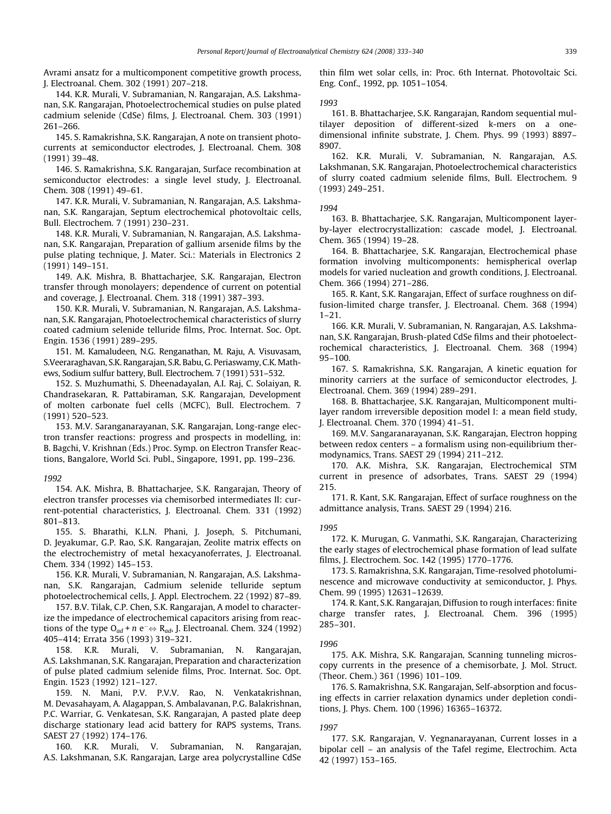Avrami ansatz for a multicomponent competitive growth process, J. Electroanal. Chem. 302 (1991) 207–218.

144. K.R. Murali, V. Subramanian, N. Rangarajan, A.S. Lakshmanan, S.K. Rangarajan, Photoelectrochemical studies on pulse plated cadmium selenide (CdSe) films, J. Electroanal. Chem. 303 (1991) 261–266.

145. S. Ramakrishna, S.K. Rangarajan, A note on transient photocurrents at semiconductor electrodes, J. Electroanal. Chem. 308 (1991) 39–48.

146. S. Ramakrishna, S.K. Rangarajan, Surface recombination at semiconductor electrodes: a single level study, J. Electroanal. Chem. 308 (1991) 49–61.

147. K.R. Murali, V. Subramanian, N. Rangarajan, A.S. Lakshmanan, S.K. Rangarajan, Septum electrochemical photovoltaic cells, Bull. Electrochem. 7 (1991) 230–231.

148. K.R. Murali, V. Subramanian, N. Rangarajan, A.S. Lakshmanan, S.K. Rangarajan, Preparation of gallium arsenide films by the pulse plating technique, J. Mater. Sci.: Materials in Electronics 2 (1991) 149–151.

149. A.K. Mishra, B. Bhattacharjee, S.K. Rangarajan, Electron transfer through monolayers; dependence of current on potential and coverage, J. Electroanal. Chem. 318 (1991) 387–393.

150. K.R. Murali, V. Subramanian, N. Rangarajan, A.S. Lakshmanan, S.K. Rangarajan, Photoelectrochemical characteristics of slurry coated cadmium selenide telluride films, Proc. Internat. Soc. Opt. Engin. 1536 (1991) 289–295.

151. M. Kamaludeen, N.G. Renganathan, M. Raju, A. Visuvasam, S.Veeraraghavan, S.K. Rangarajan, S.R. Babu, G. Periaswamy, C.K. Mathews, Sodium sulfur battery, Bull. Electrochem. 7 (1991) 531–532.

152. S. Muzhumathi, S. Dheenadayalan, A.I. Raj, C. Solaiyan, R. Chandrasekaran, R. Pattabiraman, S.K. Rangarajan, Development of molten carbonate fuel cells (MCFC), Bull. Electrochem. 7 (1991) 520–523.

153. M.V. Saranganarayanan, S.K. Rangarajan, Long-range electron transfer reactions: progress and prospects in modelling, in: B. Bagchi, V. Krishnan (Eds.) Proc. Symp. on Electron Transfer Reactions, Bangalore, World Sci. Publ., Singapore, 1991, pp. 199–236.

# 1992

154. A.K. Mishra, B. Bhattacharjee, S.K. Rangarajan, Theory of electron transfer processes via chemisorbed intermediates II: current-potential characteristics, J. Electroanal. Chem. 331 (1992) 801–813.

155. S. Bharathi, K.L.N. Phani, J. Joseph, S. Pitchumani, D. Jeyakumar, G.P. Rao, S.K. Rangarajan, Zeolite matrix effects on the electrochemistry of metal hexacyanoferrates, J. Electroanal. Chem. 334 (1992) 145–153.

156. K.R. Murali, V. Subramanian, N. Rangarajan, A.S. Lakshmanan, S.K. Rangarajan, Cadmium selenide telluride septum photoelectrochemical cells, J. Appl. Electrochem. 22 (1992) 87–89.

157. B.V. Tilak, C.P. Chen, S.K. Rangarajan, A model to characterize the impedance of electrochemical capacitors arising from reactions of the type O<sub>ad</sub> + n e<sup>-</sup> $\Leftrightarrow$  R<sub>ad</sub>, J. Electroanal. Chem. 324 (1992) 405–414; Errata 356 (1993) 319–321.

158. K.R. Murali, V. Subramanian, N. Rangarajan, A.S. Lakshmanan, S.K. Rangarajan, Preparation and characterization of pulse plated cadmium selenide films, Proc. Internat. Soc. Opt. Engin. 1523 (1992) 121–127.

159. N. Mani, P.V. P.V.V. Rao, N. Venkatakrishnan, M. Devasahayam, A. Alagappan, S. Ambalavanan, P.G. Balakrishnan, P.C. Warriar, G. Venkatesan, S.K. Rangarajan, A pasted plate deep discharge stationary lead acid battery for RAPS systems, Trans. SAEST 27 (1992) 174–176.

160. K.R. Murali, V. Subramanian, N. Rangarajan, A.S. Lakshmanan, S.K. Rangarajan, Large area polycrystalline CdSe thin film wet solar cells, in: Proc. 6th Internat. Photovoltaic Sci. Eng. Conf., 1992, pp. 1051–1054.

#### 1993

161. B. Bhattacharjee, S.K. Rangarajan, Random sequential multilayer deposition of different-sized k-mers on a onedimensional infinite substrate, J. Chem. Phys. 99 (1993) 8897– 8907.

162. K.R. Murali, V. Subramanian, N. Rangarajan, A.S. Lakshmanan, S.K. Rangarajan, Photoelectrochemical characteristics of slurry coated cadmium selenide films, Bull. Electrochem. 9 (1993) 249–251.

#### 1994

163. B. Bhattacharjee, S.K. Rangarajan, Multicomponent layerby-layer electrocrystallization: cascade model, J. Electroanal. Chem. 365 (1994) 19–28.

164. B. Bhattacharjee, S.K. Rangarajan, Electrochemical phase formation involving multicomponents: hemispherical overlap models for varied nucleation and growth conditions, J. Electroanal. Chem. 366 (1994) 271–286.

165. R. Kant, S.K. Rangarajan, Effect of surface roughness on diffusion-limited charge transfer, J. Electroanal. Chem. 368 (1994) 1–21.

166. K.R. Murali, V. Subramanian, N. Rangarajan, A.S. Lakshmanan, S.K. Rangarajan, Brush-plated CdSe films and their photoelectrochemical characteristics, J. Electroanal. Chem. 368 (1994) 95–100.

167. S. Ramakrishna, S.K. Rangarajan, A kinetic equation for minority carriers at the surface of semiconductor electrodes, J. Electroanal. Chem. 369 (1994) 289–291.

168. B. Bhattacharjee, S.K. Rangarajan, Multicomponent multilayer random irreversible deposition model I: a mean field study, J. Electroanal. Chem. 370 (1994) 41–51.

169. M.V. Sangaranarayanan, S.K. Rangarajan, Electron hopping between redox centers – a formalism using non-equilibrium thermodynamics, Trans. SAEST 29 (1994) 211–212.

170. A.K. Mishra, S.K. Rangarajan, Electrochemical STM current in presence of adsorbates, Trans. SAEST 29 (1994) 215.

171. R. Kant, S.K. Rangarajan, Effect of surface roughness on the admittance analysis, Trans. SAEST 29 (1994) 216.

#### 1995

172. K. Murugan, G. Vanmathi, S.K. Rangarajan, Characterizing the early stages of electrochemical phase formation of lead sulfate films, J. Electrochem. Soc. 142 (1995) 1770–1776.

173. S. Ramakrishna, S.K. Rangarajan, Time-resolved photoluminescence and microwave conductivity at semiconductor, J. Phys. Chem. 99 (1995) 12631–12639.

174. R. Kant, S.K. Rangarajan, Diffusion to rough interfaces: finite charge transfer rates, J. Electroanal. Chem. 396 (1995) 285–301.

# 1996

175. A.K. Mishra, S.K. Rangarajan, Scanning tunneling microscopy currents in the presence of a chemisorbate, J. Mol. Struct. (Theor. Chem.) 361 (1996) 101–109.

176. S. Ramakrishna, S.K. Rangarajan, Self-absorption and focusing effects in carrier relaxation dynamics under depletion conditions, J. Phys. Chem. 100 (1996) 16365–16372.

#### 1997

177. S.K. Rangarajan, V. Yegnanarayanan, Current losses in a bipolar cell – an analysis of the Tafel regime, Electrochim. Acta 42 (1997) 153–165.